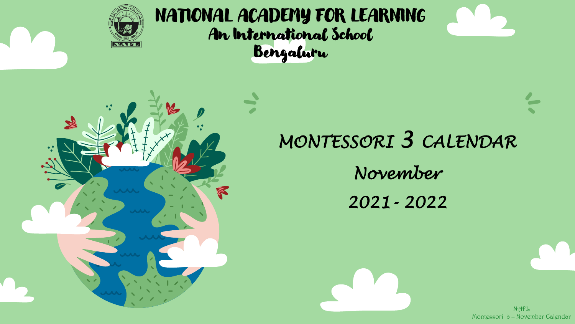

# NATIONAL ACADEMY FOR LEARNING An International School Bengaluru



# *MONTESSORI 3 CALENDAR*

*November 2021- 2022*

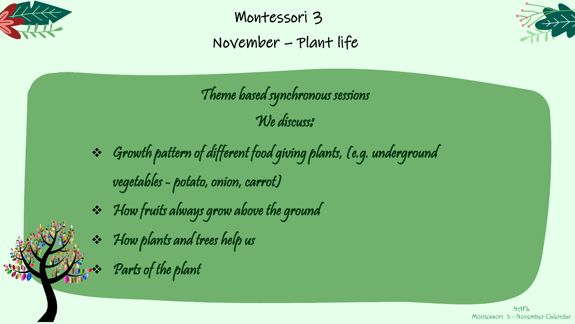

Montessori 3 November – Plant life



Theme based synchronous sessions We discuss:

- ❖ Growth pattern of different food giving plants, (e.g. underground vegetables - potato, onion, carrot)
- ❖ How fruits always grow above the ground
	- How plants and trees help us
		- Parts of the plant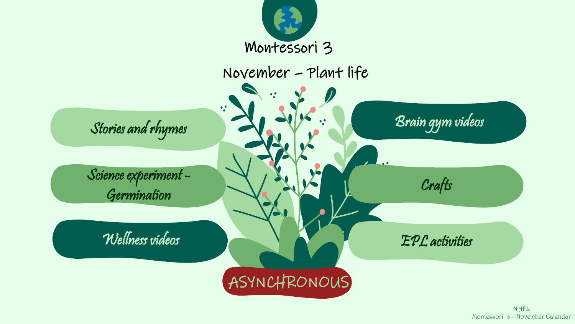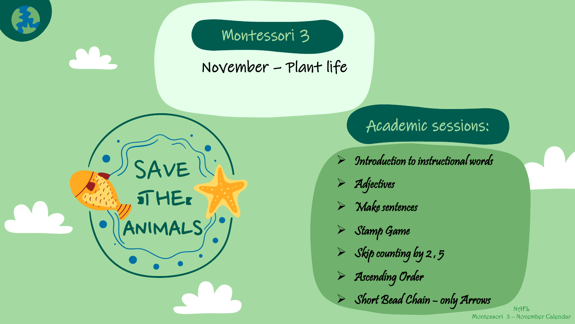# Montessori 3

## November – Plant life



# Academic sessions:

- ➢ Introduction to instructional words
- ➢ Adjectives
- ➢ Make sentences
- ➢ Stamp Game
- $\triangleright$  Skip counting by 2, 5
- ➢ Ascending Order

➢ Short Bead Chain – only Arrows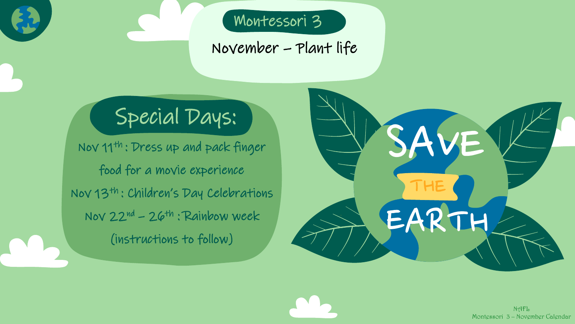Montessori 3

#### November – Plant life

# Special Days:

Nov 11th : Dress up and pack finger food for a movie experience Nov 13th : Children's Day Celebrations Nov 22nd – 26th : Rainbow week (instructions to follow)

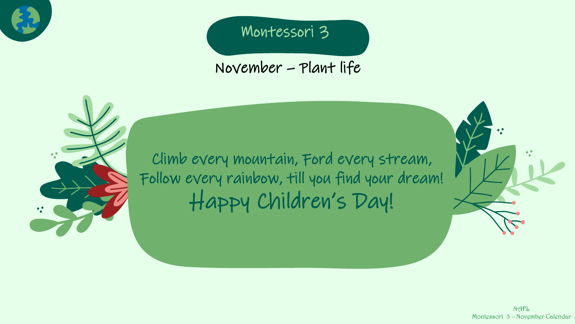

### Montessori 3

### November – Plant life

Climb every mountain, Ford every stream, Follow every rainbow, till you find your dream! Happy Children's Day!